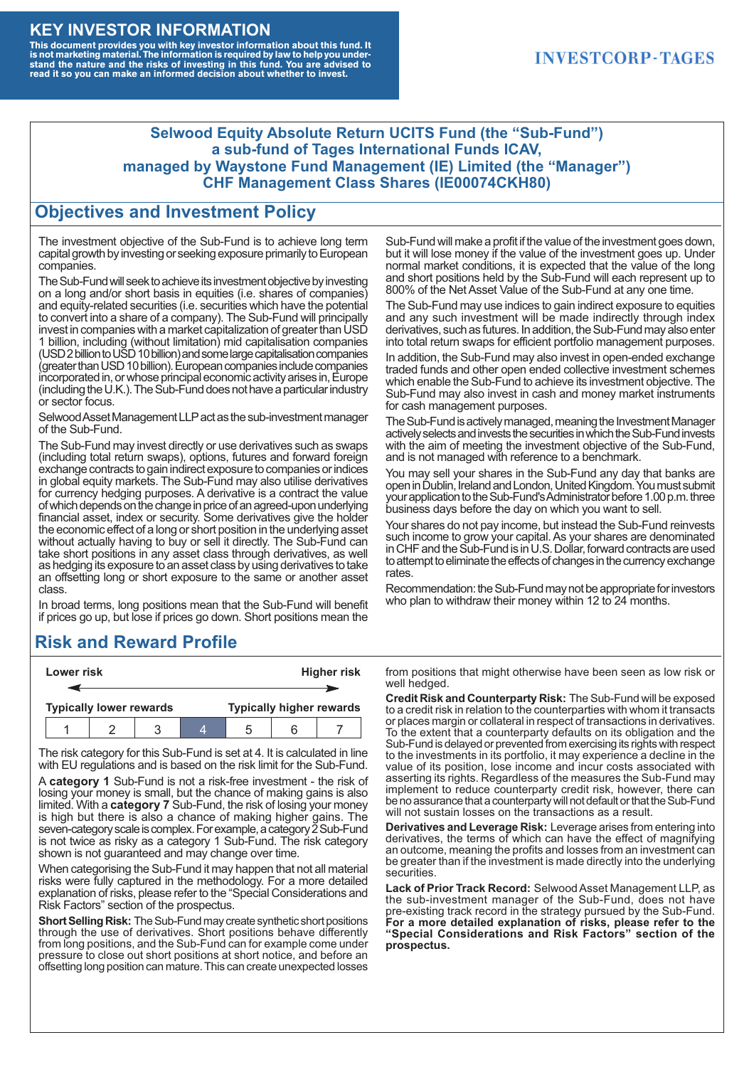#### **KEY INVESTOR INFORMATION**

This document provides you with key investor information about this fund. It<br>is not marketing material. The information is required by law to help you under-<br>stand the nature and the risks of investing in this fund. You ar

### **INVESTCORP-TAGES**

#### **Selwood Equity Absolute Return UCITS Fund (the "Sub-Fund") a sub-fund of Tages International Funds ICAV, managed by Waystone Fund Management (IE) Limited (the "Manager") CHF Management Class Shares (IE00074CKH80)**

### **Objectives and Investment Policy**

The investment objective of the Sub-Fund is to achieve long term capital growth by investing or seeking exposure primarily to European companies.

The Sub-Fund will seek to achieve its investment objective by investing on a long and/or short basis in equities (i.e. shares of companies) and equity-related securities (i.e. securities which have the potential to convert into a share of a company). The Sub-Fund will principally invest in companies with a market capitalization of greater than USD 1 billion, including (without limitation) mid capitalisation companies (USD 2 billion to USD 10 billion) and some large capitalisation companies (greaterthanUSD10billion).European companiesinclude companies incorporated in, or whose principal economic activity arises in, Europe (including the U.K.). The Sub-Fund does not have a particular industry or sector focus.

Selwood Asset Management LLP act as the sub-investment manager of the Sub-Fund.

The Sub-Fund may invest directly or use derivatives such as swaps (including total return swaps), options, futures and forward foreign exchange contracts to gain indirect exposure to companies or indices in global equity markets. The Sub-Fund may also utilise derivatives for currency hedging purposes. A derivative is a contract the value of which depends on the change in price of an agreed-upon underlying financial asset, index or security. Some derivatives give the holder the economic effect of a long or short position in the underlying asset without actually having to buy or sell it directly. The Sub-Fund can take short positions in any asset class through derivatives, as well as hedging its exposure to an asset class by using derivatives to take an offsetting long or short exposure to the same or another asset class.

In broad terms, long positions mean that the Sub-Fund will benefit if prices go up, but lose if prices go down. Short positions mean the

## **Risk and Reward Profile**

|                                | Lower risk |  |  | <b>Higher risk</b>              |  |  |
|--------------------------------|------------|--|--|---------------------------------|--|--|
|                                |            |  |  |                                 |  |  |
| <b>Typically lower rewards</b> |            |  |  | <b>Typically higher rewards</b> |  |  |
|                                |            |  |  | :5                              |  |  |

The risk category for this Sub-Fund is set at 4. It is calculated in line with EU regulations and is based on the risk limit for the Sub-Fund.

A **category 1** Sub-Fund is not a risk-free investment - the risk of losing your money is small, but the chance of making gains is also limited. With a **category 7** Sub-Fund, the risk of losing your money is high but there is also a chance of making higher gains. The seven-category scale is complex. For example, a category 2 Sub-Fund is not twice as risky as a category 1 Sub-Fund. The risk category shown is not guaranteed and may change over time.

When categorising the Sub-Fund it may happen that not all material risks were fully captured in the methodology. For a more detailed explanation of risks, please refer to the "Special Considerations and Risk Factors" section of the prospectus.

**Short Selling Risk:** The Sub-Fund may create synthetic short positions through the use of derivatives. Short positions behave differently from long positions, and the Sub-Fund can for example come under pressure to close out short positions at short notice, and before an offsetting long position can mature. This can create unexpected losses

Sub-Fund will make a profit if the value of the investment goes down, but it will lose money if the value of the investment goes up. Under normal market conditions, it is expected that the value of the long and short positions held by the Sub-Fund will each represent up to 800% of the Net Asset Value of the Sub-Fund at any one time.

The Sub-Fund may use indices to gain indirect exposure to equities and any such investment will be made indirectly through index derivatives, such as futures. In addition, the Sub-Fund may also enter into total return swaps for efficient portfolio management purposes.

In addition, the Sub-Fund may also invest in open-ended exchange traded funds and other open ended collective investment schemes which enable the Sub-Fund to achieve its investment objective. The Sub-Fund may also invest in cash and money market instruments for cash management purposes.

The Sub-Fund is actively managed, meaning the Investment Manager actively selects and invests the securities in which the Sub-Fund invests with the aim of meeting the investment objective of the Sub-Fund, and is not managed with reference to a benchmark.

You may sell your shares in the Sub-Fund any day that banks are open in Dublin, Ireland and London, United Kingdom. You must submit your application to the Sub-Fund's Administrator before 1.00 p.m. three business days before the day on which you want to sell.

Your shares do not pay income, but instead the Sub-Fund reinvests such income to grow your capital. As your shares are denominated in CHF and the Sub-Fund is in U.S. Dollar, forward contracts are used to attempt to eliminate the effects of changes in the currency exchange rates.

Recommendation: the Sub-Fund may not be appropriate for investors who plan to withdraw their money within 12 to 24 months.

from positions that might otherwise have been seen as low risk or well hedged.

**Credit Risk and Counterparty Risk:** The Sub-Fund will be exposed to a credit risk in relation to the counterparties with whom it transacts or places margin or collateral in respect of transactions in derivatives. To the extent that a counterparty defaults on its obligation and the Sub-Fund is delayed or prevented from exercising its rights with respect to the investments in its portfolio, it may experience a decline in the value of its position, lose income and incur costs associated with asserting its rights. Regardless of the measures the Sub-Fund may implement to reduce counterparty credit risk, however, there can be no assurance that a counterparty will not default or that the Sub-Fund will not sustain losses on the transactions as a result.

**Derivatives and Leverage Risk:** Leverage arises from entering into derivatives, the terms of which can have the effect of magnifying an outcome, meaning the profits and losses from an investment can be greater than if the investment is made directly into the underlying **securities**.

**Lack of Prior Track Record:** Selwood Asset Management LLP, as the sub-investment manager of the Sub-Fund, does not have pre-existing track record in the strategy pursued by the Sub-Fund. **For a more detailed explanation of risks, please refer to the "Special Considerations and Risk Factors" section of the prospectus.**